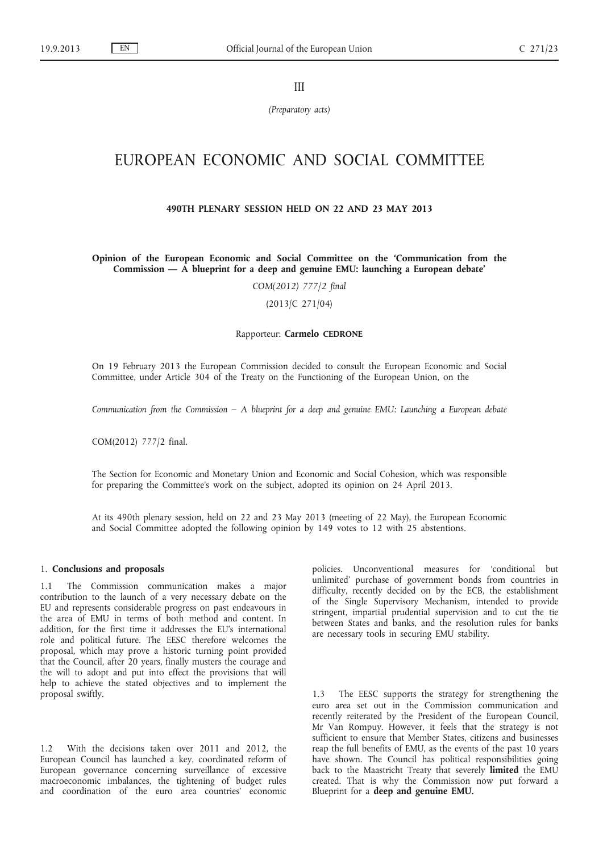III

*(Preparatory acts)*

# EUROPEAN ECONOMIC AND SOCIAL COMMITTEE

## **490TH PLENARY SESSION HELD ON 22 AND 23 MAY 2013**

**Opinion of the European Economic and Social Committee on the 'Communication from the Commission — A blueprint for a deep and genuine EMU: launching a European debate'**

*COM(2012) 777/2 final*

(2013/C 271/04)

#### Rapporteur: **Carmelo CEDRONE**

On 19 February 2013 the European Commission decided to consult the European Economic and Social Committee, under Article 304 of the Treaty on the Functioning of the European Union, on the

*Communication from the Commission – A blueprint for a deep and genuine EMU: Launching a European debate*

COM(2012) 777/2 final.

The Section for Economic and Monetary Union and Economic and Social Cohesion, which was responsible for preparing the Committee's work on the subject, adopted its opinion on 24 April 2013.

At its 490th plenary session, held on 22 and 23 May 2013 (meeting of 22 May), the European Economic and Social Committee adopted the following opinion by 149 votes to 12 with 25 abstentions.

## 1. **Conclusions and proposals**

1.1 The Commission communication makes a major contribution to the launch of a very necessary debate on the EU and represents considerable progress on past endeavours in the area of EMU in terms of both method and content. In addition, for the first time it addresses the EU's international role and political future. The EESC therefore welcomes the proposal, which may prove a historic turning point provided that the Council, after 20 years, finally musters the courage and the will to adopt and put into effect the provisions that will help to achieve the stated objectives and to implement the proposal swiftly.

1.2 With the decisions taken over 2011 and 2012, the European Council has launched a key, coordinated reform of European governance concerning surveillance of excessive macroeconomic imbalances, the tightening of budget rules and coordination of the euro area countries' economic policies. Unconventional measures for 'conditional but unlimited' purchase of government bonds from countries in difficulty, recently decided on by the ECB, the establishment of the Single Supervisory Mechanism, intended to provide stringent, impartial prudential supervision and to cut the tie between States and banks, and the resolution rules for banks are necessary tools in securing EMU stability.

1.3 The EESC supports the strategy for strengthening the euro area set out in the Commission communication and recently reiterated by the President of the European Council, Mr Van Rompuy. However, it feels that the strategy is not sufficient to ensure that Member States, citizens and businesses reap the full benefits of EMU, as the events of the past 10 years have shown. The Council has political responsibilities going back to the Maastricht Treaty that severely **limited** the EMU created. That is why the Commission now put forward a Blueprint for a **deep and genuine EMU.**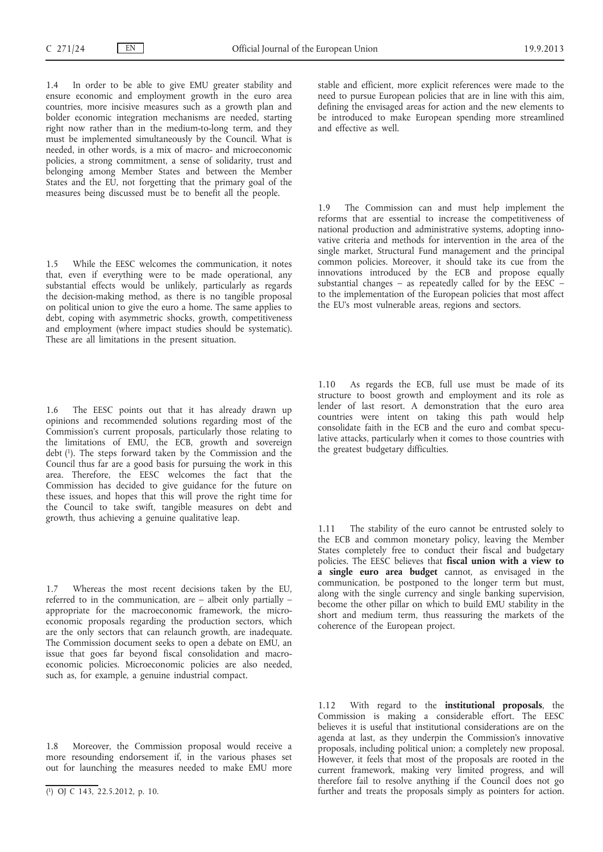1.4 In order to be able to give EMU greater stability and ensure economic and employment growth in the euro area countries, more incisive measures such as a growth plan and bolder economic integration mechanisms are needed, starting right now rather than in the medium-to-long term, and they must be implemented simultaneously by the Council. What is needed, in other words, is a mix of macro- and microeconomic policies, a strong commitment, a sense of solidarity, trust and belonging among Member States and between the Member States and the EU, not forgetting that the primary goal of the measures being discussed must be to benefit all the people.

1.5 While the EESC welcomes the communication, it notes that, even if everything were to be made operational, any substantial effects would be unlikely, particularly as regards the decision-making method, as there is no tangible proposal on political union to give the euro a home. The same applies to debt, coping with asymmetric shocks, growth, competitiveness and employment (where impact studies should be systematic). These are all limitations in the present situation.

1.6 The EESC points out that it has already drawn up opinions and recommended solutions regarding most of the Commission's current proposals, particularly those relating to the limitations of EMU, the ECB, growth and sovereign debt (1). The steps forward taken by the Commission and the Council thus far are a good basis for pursuing the work in this area. Therefore, the EESC welcomes the fact that the Commission has decided to give guidance for the future on these issues, and hopes that this will prove the right time for the Council to take swift, tangible measures on debt and growth, thus achieving a genuine qualitative leap.

1.7 Whereas the most recent decisions taken by the EU, referred to in the communication, are – albeit only partially – appropriate for the macroeconomic framework, the microeconomic proposals regarding the production sectors, which are the only sectors that can relaunch growth, are inadequate. The Commission document seeks to open a debate on EMU, an issue that goes far beyond fiscal consolidation and macroeconomic policies. Microeconomic policies are also needed, such as, for example, a genuine industrial compact.

1.8 Moreover, the Commission proposal would receive a more resounding endorsement if, in the various phases set out for launching the measures needed to make EMU more stable and efficient, more explicit references were made to the need to pursue European policies that are in line with this aim, defining the envisaged areas for action and the new elements to be introduced to make European spending more streamlined and effective as well.

1.9 The Commission can and must help implement the reforms that are essential to increase the competitiveness of national production and administrative systems, adopting innovative criteria and methods for intervention in the area of the single market, Structural Fund management and the principal common policies. Moreover, it should take its cue from the innovations introduced by the ECB and propose equally substantial changes – as repeatedly called for by the EESC – to the implementation of the European policies that most affect the EU's most vulnerable areas, regions and sectors.

1.10 As regards the ECB, full use must be made of its structure to boost growth and employment and its role as lender of last resort. A demonstration that the euro area countries were intent on taking this path would help consolidate faith in the ECB and the euro and combat speculative attacks, particularly when it comes to those countries with the greatest budgetary difficulties.

1.11 The stability of the euro cannot be entrusted solely to the ECB and common monetary policy, leaving the Member States completely free to conduct their fiscal and budgetary policies. The EESC believes that **fiscal union with a view to a single euro area budget** cannot, as envisaged in the communication, be postponed to the longer term but must, along with the single currency and single banking supervision, become the other pillar on which to build EMU stability in the short and medium term, thus reassuring the markets of the coherence of the European project.

1.12 With regard to the **institutional proposals**, the Commission is making a considerable effort. The EESC believes it is useful that institutional considerations are on the agenda at last, as they underpin the Commission's innovative proposals, including political union; a completely new proposal. However, it feels that most of the proposals are rooted in the current framework, making very limited progress, and will therefore fail to resolve anything if the Council does not go further and treats the proposals simply as pointers for action.

<sup>(</sup> 1) OJ C 143, 22.5.2012, p. 10.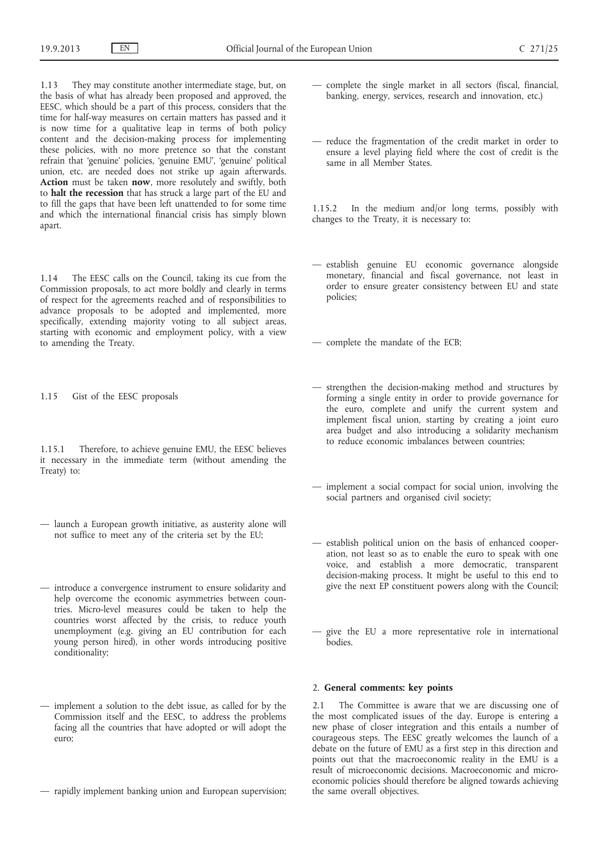1.13 They may constitute another intermediate stage, but, on the basis of what has already been proposed and approved, the EESC, which should be a part of this process, considers that the time for half-way measures on certain matters has passed and it is now time for a qualitative leap in terms of both policy content and the decision-making process for implementing these policies, with no more pretence so that the constant refrain that 'genuine' policies, 'genuine EMU', 'genuine' political union, etc. are needed does not strike up again afterwards. **Action** must be taken **now**, more resolutely and swiftly, both to **halt the recession** that has struck a large part of the EU and to fill the gaps that have been left unattended to for some time and which the international financial crisis has simply blown apart.

1.14 The EESC calls on the Council, taking its cue from the Commission proposals, to act more boldly and clearly in terms of respect for the agreements reached and of responsibilities to advance proposals to be adopted and implemented, more specifically, extending majority voting to all subject areas, starting with economic and employment policy, with a view to amending the Treaty.

1.15 Gist of the EESC proposals

1.15.1 Therefore, to achieve genuine EMU, the EESC believes it necessary in the immediate term (without amending the Treaty) to:

- launch a European growth initiative, as austerity alone will not suffice to meet any of the criteria set by the EU;
- introduce a convergence instrument to ensure solidarity and help overcome the economic asymmetries between countries. Micro-level measures could be taken to help the countries worst affected by the crisis, to reduce youth unemployment (e.g. giving an EU contribution for each young person hired), in other words introducing positive conditionality;
- implement a solution to the debt issue, as called for by the Commission itself and the EESC, to address the problems facing all the countries that have adopted or will adopt the euro;
- rapidly implement banking union and European supervision;
- complete the single market in all sectors (fiscal, financial, banking, energy, services, research and innovation, etc.)
- reduce the fragmentation of the credit market in order to ensure a level playing field where the cost of credit is the same in all Member States.

1.15.2 In the medium and/or long terms, possibly with changes to the Treaty, it is necessary to:

— establish genuine EU economic governance alongside monetary, financial and fiscal governance, not least in order to ensure greater consistency between EU and state policies;

— complete the mandate of the ECB;

- strengthen the decision-making method and structures by forming a single entity in order to provide governance for the euro, complete and unify the current system and implement fiscal union, starting by creating a joint euro area budget and also introducing a solidarity mechanism to reduce economic imbalances between countries;
- implement a social compact for social union, involving the social partners and organised civil society;
- establish political union on the basis of enhanced cooperation, not least so as to enable the euro to speak with one voice, and establish a more democratic, transparent decision-making process. It might be useful to this end to give the next EP constituent powers along with the Council;
- give the EU a more representative role in international bodies.

## 2. **General comments: key points**

2.1 The Committee is aware that we are discussing one of the most complicated issues of the day. Europe is entering a new phase of closer integration and this entails a number of courageous steps. The EESC greatly welcomes the launch of a debate on the future of EMU as a first step in this direction and points out that the macroeconomic reality in the EMU is a result of microeconomic decisions. Macroeconomic and microeconomic policies should therefore be aligned towards achieving the same overall objectives.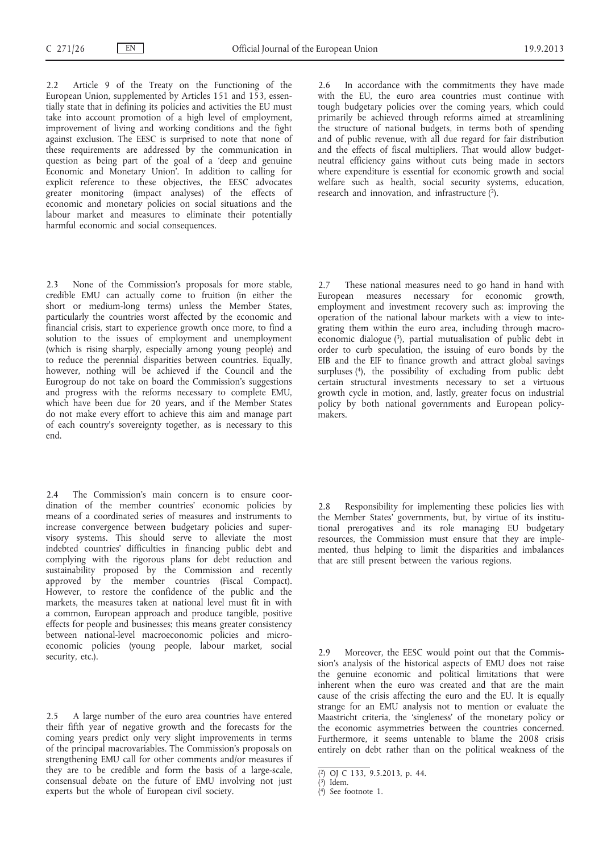2.2 Article 9 of the Treaty on the Functioning of the European Union, supplemented by Articles 151 and 153, essentially state that in defining its policies and activities the EU must take into account promotion of a high level of employment, improvement of living and working conditions and the fight against exclusion. The EESC is surprised to note that none of these requirements are addressed by the communication in question as being part of the goal of a 'deep and genuine Economic and Monetary Union'. In addition to calling for explicit reference to these objectives, the EESC advocates greater monitoring (impact analyses) of the effects of economic and monetary policies on social situations and the labour market and measures to eliminate their potentially harmful economic and social consequences.

2.3 None of the Commission's proposals for more stable, credible EMU can actually come to fruition (in either the short or medium-long terms) unless the Member States, particularly the countries worst affected by the economic and financial crisis, start to experience growth once more, to find a solution to the issues of employment and unemployment (which is rising sharply, especially among young people) and to reduce the perennial disparities between countries. Equally, however, nothing will be achieved if the Council and the Eurogroup do not take on board the Commission's suggestions and progress with the reforms necessary to complete EMU, which have been due for 20 years, and if the Member States do not make every effort to achieve this aim and manage part of each country's sovereignty together, as is necessary to this end.

2.4 The Commission's main concern is to ensure coordination of the member countries' economic policies by means of a coordinated series of measures and instruments to increase convergence between budgetary policies and supervisory systems. This should serve to alleviate the most indebted countries' difficulties in financing public debt and complying with the rigorous plans for debt reduction and sustainability proposed by the Commission and recently approved by the member countries (Fiscal Compact). However, to restore the confidence of the public and the markets, the measures taken at national level must fit in with a common, European approach and produce tangible, positive effects for people and businesses; this means greater consistency between national-level macroeconomic policies and microeconomic policies (young people, labour market, social security, etc.).

2.5 A large number of the euro area countries have entered their fifth year of negative growth and the forecasts for the coming years predict only very slight improvements in terms of the principal macrovariables. The Commission's proposals on strengthening EMU call for other comments and/or measures if they are to be credible and form the basis of a large-scale, consensual debate on the future of EMU involving not just experts but the whole of European civil society.

2.6 In accordance with the commitments they have made with the EU, the euro area countries must continue with tough budgetary policies over the coming years, which could primarily be achieved through reforms aimed at streamlining the structure of national budgets, in terms both of spending and of public revenue, with all due regard for fair distribution and the effects of fiscal multipliers. That would allow budgetneutral efficiency gains without cuts being made in sectors where expenditure is essential for economic growth and social welfare such as health, social security systems, education, research and innovation, and infrastructure  $(2)$ .

2.7 These national measures need to go hand in hand with European measures necessary for economic growth, employment and investment recovery such as: improving the operation of the national labour markets with a view to integrating them within the euro area, including through macroeconomic dialogue (3), partial mutualisation of public debt in order to curb speculation, the issuing of euro bonds by the EIB and the EIF to finance growth and attract global savings surpluses (4), the possibility of excluding from public debt certain structural investments necessary to set a virtuous growth cycle in motion, and, lastly, greater focus on industrial policy by both national governments and European policymakers.

2.8 Responsibility for implementing these policies lies with the Member States' governments, but, by virtue of its institutional prerogatives and its role managing EU budgetary resources, the Commission must ensure that they are implemented, thus helping to limit the disparities and imbalances that are still present between the various regions.

2.9 Moreover, the EESC would point out that the Commission's analysis of the historical aspects of EMU does not raise the genuine economic and political limitations that were inherent when the euro was created and that are the main cause of the crisis affecting the euro and the EU. It is equally strange for an EMU analysis not to mention or evaluate the Maastricht criteria, the 'singleness' of the monetary policy or the economic asymmetries between the countries concerned. Furthermore, it seems untenable to blame the 2008 crisis entirely on debt rather than on the political weakness of the

<sup>(</sup> 2) OJ C 133, 9.5.2013, p. 44.

 $(3)$  Idem.

<sup>(</sup> 4) See footnote 1.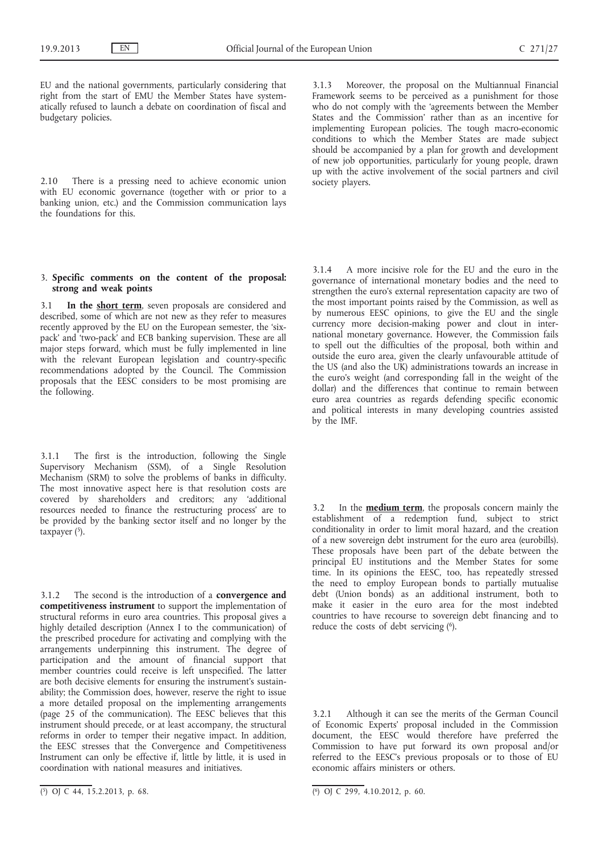EU and the national governments, particularly considering that right from the start of EMU the Member States have systematically refused to launch a debate on coordination of fiscal and budgetary policies.

2.10 There is a pressing need to achieve economic union with EU economic governance (together with or prior to a banking union, etc.) and the Commission communication lays the foundations for this.

## 3. **Specific comments on the content of the proposal: strong and weak points**

3.1 **In the short term**, seven proposals are considered and described, some of which are not new as they refer to measures recently approved by the EU on the European semester, the 'sixpack' and 'two-pack' and ECB banking supervision. These are all major steps forward, which must be fully implemented in line with the relevant European legislation and country-specific recommendations adopted by the Council. The Commission proposals that the EESC considers to be most promising are the following.

3.1.1 The first is the introduction, following the Single Supervisory Mechanism (SSM), of a Single Resolution Mechanism (SRM) to solve the problems of banks in difficulty. The most innovative aspect here is that resolution costs are covered by shareholders and creditors; any 'additional resources needed to finance the restructuring process' are to be provided by the banking sector itself and no longer by the taxpayer  $(5)$ .

3.1.2 The second is the introduction of a **convergence and competitiveness instrument** to support the implementation of structural reforms in euro area countries. This proposal gives a highly detailed description (Annex I to the communication) of the prescribed procedure for activating and complying with the arrangements underpinning this instrument. The degree of participation and the amount of financial support that member countries could receive is left unspecified. The latter are both decisive elements for ensuring the instrument's sustainability; the Commission does, however, reserve the right to issue a more detailed proposal on the implementing arrangements (page 25 of the communication). The EESC believes that this instrument should precede, or at least accompany, the structural reforms in order to temper their negative impact. In addition, the EESC stresses that the Convergence and Competitiveness Instrument can only be effective if, little by little, it is used in coordination with national measures and initiatives.

3.1.3 Moreover, the proposal on the Multiannual Financial Framework seems to be perceived as a punishment for those who do not comply with the 'agreements between the Member States and the Commission' rather than as an incentive for implementing European policies. The tough macro-economic conditions to which the Member States are made subject should be accompanied by a plan for growth and development of new job opportunities, particularly for young people, drawn up with the active involvement of the social partners and civil society players.

3.1.4 A more incisive role for the EU and the euro in the governance of international monetary bodies and the need to strengthen the euro's external representation capacity are two of the most important points raised by the Commission, as well as by numerous EESC opinions, to give the EU and the single currency more decision-making power and clout in international monetary governance. However, the Commission fails to spell out the difficulties of the proposal, both within and outside the euro area, given the clearly unfavourable attitude of the US (and also the UK) administrations towards an increase in the euro's weight (and corresponding fall in the weight of the dollar) and the differences that continue to remain between euro area countries as regards defending specific economic and political interests in many developing countries assisted by the IMF.

3.2 In the **medium term**, the proposals concern mainly the establishment of a redemption fund, subject to strict conditionality in order to limit moral hazard, and the creation of a new sovereign debt instrument for the euro area (eurobills). These proposals have been part of the debate between the principal EU institutions and the Member States for some time. In its opinions the EESC, too, has repeatedly stressed the need to employ European bonds to partially mutualise debt (Union bonds) as an additional instrument, both to make it easier in the euro area for the most indebted countries to have recourse to sovereign debt financing and to reduce the costs of debt servicing (6).

3.2.1 Although it can see the merits of the German Council of Economic Experts' proposal included in the Commission document, the EESC would therefore have preferred the Commission to have put forward its own proposal and/or referred to the EESC's previous proposals or to those of EU economic affairs ministers or others.

 $(5)$  OJ C 44, 15.2.2013, p. 68.

 $\overline{(\phi)}$  OJ C 299, 4.10.2012, p. 60.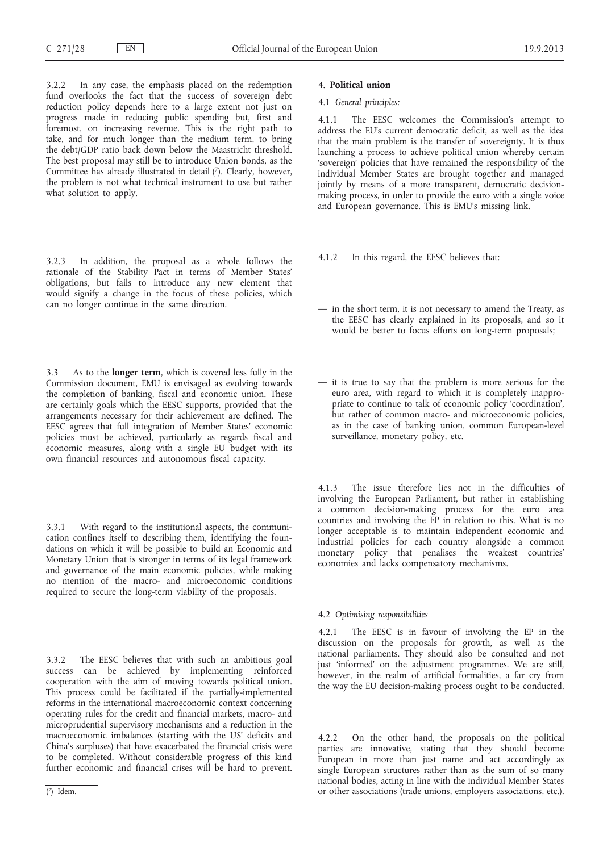3.2.2 In any case, the emphasis placed on the redemption fund overlooks the fact that the success of sovereign debt reduction policy depends here to a large extent not just on progress made in reducing public spending but, first and foremost, on increasing revenue. This is the right path to take, and for much longer than the medium term, to bring the debt/GDP ratio back down below the Maastricht threshold. The best proposal may still be to introduce Union bonds, as the Committee has already illustrated in detail (7). Clearly, however, the problem is not what technical instrument to use but rather what solution to apply.

3.2.3 In addition, the proposal as a whole follows the rationale of the Stability Pact in terms of Member States' obligations, but fails to introduce any new element that would signify a change in the focus of these policies, which can no longer continue in the same direction.

3.3 As to the **longer term**, which is covered less fully in the Commission document, EMU is envisaged as evolving towards the completion of banking, fiscal and economic union. These are certainly goals which the EESC supports, provided that the arrangements necessary for their achievement are defined. The EESC agrees that full integration of Member States' economic policies must be achieved, particularly as regards fiscal and economic measures, along with a single EU budget with its own financial resources and autonomous fiscal capacity.

3.3.1 With regard to the institutional aspects, the communication confines itself to describing them, identifying the foundations on which it will be possible to build an Economic and Monetary Union that is stronger in terms of its legal framework and governance of the main economic policies, while making no mention of the macro- and microeconomic conditions required to secure the long-term viability of the proposals.

3.3.2 The EESC believes that with such an ambitious goal success can be achieved by implementing reinforced cooperation with the aim of moving towards political union. This process could be facilitated if the partially-implemented reforms in the international macroeconomic context concerning operating rules for the credit and financial markets, macro- and microprudential supervisory mechanisms and a reduction in the macroeconomic imbalances (starting with the US' deficits and China's surpluses) that have exacerbated the financial crisis were to be completed. Without considerable progress of this kind further economic and financial crises will be hard to prevent.

#### 4. **Political union**

#### 4.1 *General principles:*

4.1.1 The EESC welcomes the Commission's attempt to address the EU's current democratic deficit, as well as the idea that the main problem is the transfer of sovereignty. It is thus launching a process to achieve political union whereby certain 'sovereign' policies that have remained the responsibility of the individual Member States are brought together and managed jointly by means of a more transparent, democratic decisionmaking process, in order to provide the euro with a single voice and European governance. This is EMU's missing link.

- 4.1.2 In this regard, the EESC believes that:
- in the short term, it is not necessary to amend the Treaty, as the EESC has clearly explained in its proposals, and so it would be better to focus efforts on long-term proposals;
- it is true to say that the problem is more serious for the euro area, with regard to which it is completely inappropriate to continue to talk of economic policy 'coordination', but rather of common macro- and microeconomic policies, as in the case of banking union, common European-level surveillance, monetary policy, etc.

4.1.3 The issue therefore lies not in the difficulties of involving the European Parliament, but rather in establishing a common decision-making process for the euro area countries and involving the EP in relation to this. What is no longer acceptable is to maintain independent economic and industrial policies for each country alongside a common monetary policy that penalises the weakest countries' economies and lacks compensatory mechanisms.

## 4.2 *Optimising responsibilities*

4.2.1 The EESC is in favour of involving the EP in the discussion on the proposals for growth, as well as the national parliaments. They should also be consulted and not just 'informed' on the adjustment programmes. We are still, however, in the realm of artificial formalities, a far cry from the way the EU decision-making process ought to be conducted.

4.2.2 On the other hand, the proposals on the political parties are innovative, stating that they should become European in more than just name and act accordingly as single European structures rather than as the sum of so many national bodies, acting in line with the individual Member States or other associations (trade unions, employers associations, etc.).

<sup>(</sup> 7) Idem.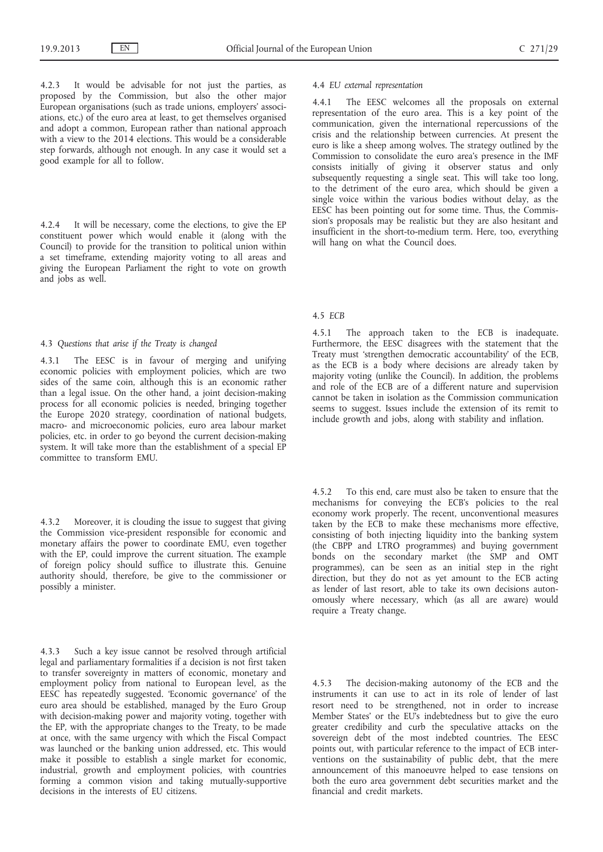4.2.3 It would be advisable for not just the parties, as proposed by the Commission, but also the other major European organisations (such as trade unions, employers' associations, etc.) of the euro area at least, to get themselves organised and adopt a common, European rather than national approach with a view to the 2014 elections. This would be a considerable step forwards, although not enough. In any case it would set a good example for all to follow.

4.2.4 It will be necessary, come the elections, to give the EP constituent power which would enable it (along with the Council) to provide for the transition to political union within a set timeframe, extending majority voting to all areas and giving the European Parliament the right to vote on growth and jobs as well.

## 4.3 *Questions that arise if the Treaty is changed*

4.3.1 The EESC is in favour of merging and unifying economic policies with employment policies, which are two sides of the same coin, although this is an economic rather than a legal issue. On the other hand, a joint decision-making process for all economic policies is needed, bringing together the Europe 2020 strategy, coordination of national budgets, macro- and microeconomic policies, euro area labour market policies, etc. in order to go beyond the current decision-making system. It will take more than the establishment of a special EP committee to transform EMU.

4.3.2 Moreover, it is clouding the issue to suggest that giving the Commission vice-president responsible for economic and monetary affairs the power to coordinate EMU, even together with the EP, could improve the current situation. The example of foreign policy should suffice to illustrate this. Genuine authority should, therefore, be give to the commissioner or possibly a minister.

4.3.3 Such a key issue cannot be resolved through artificial legal and parliamentary formalities if a decision is not first taken to transfer sovereignty in matters of economic, monetary and employment policy from national to European level, as the EESC has repeatedly suggested. 'Economic governance' of the euro area should be established, managed by the Euro Group with decision-making power and majority voting, together with the EP, with the appropriate changes to the Treaty, to be made at once, with the same urgency with which the Fiscal Compact was launched or the banking union addressed, etc. This would make it possible to establish a single market for economic, industrial, growth and employment policies, with countries forming a common vision and taking mutually-supportive decisions in the interests of EU citizens.

## 4.4 *EU external representation*

4.4.1 The EESC welcomes all the proposals on external representation of the euro area. This is a key point of the communication, given the international repercussions of the crisis and the relationship between currencies. At present the euro is like a sheep among wolves. The strategy outlined by the Commission to consolidate the euro area's presence in the IMF consists initially of giving it observer status and only subsequently requesting a single seat. This will take too long, to the detriment of the euro area, which should be given a single voice within the various bodies without delay, as the EESC has been pointing out for some time. Thus, the Commission's proposals may be realistic but they are also hesitant and insufficient in the short-to-medium term. Here, too, everything will hang on what the Council does.

## 4.5 *ECB*

4.5.1 The approach taken to the ECB is inadequate. Furthermore, the EESC disagrees with the statement that the Treaty must 'strengthen democratic accountability' of the ECB, as the ECB is a body where decisions are already taken by majority voting (unlike the Council). In addition, the problems and role of the ECB are of a different nature and supervision cannot be taken in isolation as the Commission communication seems to suggest. Issues include the extension of its remit to include growth and jobs, along with stability and inflation.

4.5.2 To this end, care must also be taken to ensure that the mechanisms for conveying the ECB's policies to the real economy work properly. The recent, unconventional measures taken by the ECB to make these mechanisms more effective, consisting of both injecting liquidity into the banking system (the CBPP and LTRO programmes) and buying government bonds on the secondary market (the SMP and OMT programmes), can be seen as an initial step in the right direction, but they do not as yet amount to the ECB acting as lender of last resort, able to take its own decisions autonomously where necessary, which (as all are aware) would require a Treaty change.

4.5.3 The decision-making autonomy of the ECB and the instruments it can use to act in its role of lender of last resort need to be strengthened, not in order to increase Member States' or the EU's indebtedness but to give the euro greater credibility and curb the speculative attacks on the sovereign debt of the most indebted countries. The EESC points out, with particular reference to the impact of ECB interventions on the sustainability of public debt, that the mere announcement of this manoeuvre helped to ease tensions on both the euro area government debt securities market and the financial and credit markets.